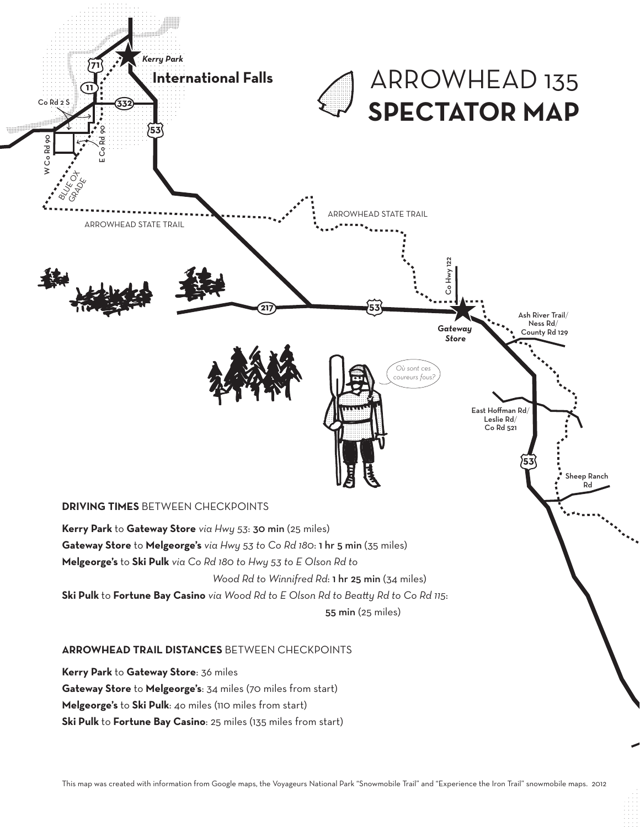